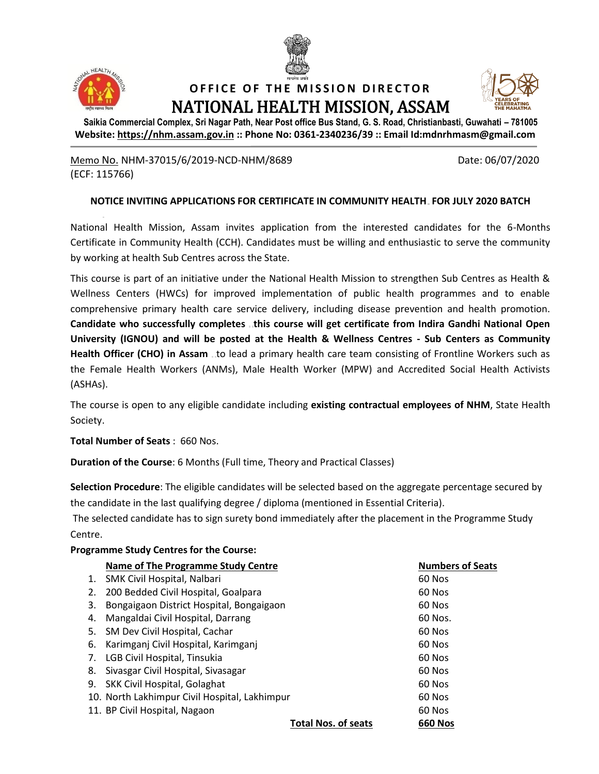



### **OFFICE OF THE MISSION DIRECTOR** NATIONAL HEALTH MISSION, ASSAM



**Saikia Commercial Complex, Sri Nagar Path, Near Post office Bus Stand, G. S. Road, Christianbasti, Guwahati – 781005 Website: [https://nhm.assam.gov.in](https://nhm.assam.gov.in/) :: Phone No: 0361-2340236/39 :: Email Id:mdnrhmasm@gmail.com**

Memo No. NHM-37015/6/2019-NCD-NHM/8689 Date: 06/07/2020 (ECF: 115766)

### **NOTICE INVITING APPLICATIONS FOR CERTIFICATE IN COMMUNITY HEALTH FOR JULY 2020 BATCH**

National Health Mission, Assam invites application from the interested candidates for the 6-Months Certificate in Community Health (CCH). Candidates must be willing and enthusiastic to serve the community by working at health Sub Centres across the State.

This course is part of an initiative under the National Health Mission to strengthen Sub Centres as Health & Wellness Centers (HWCs) for improved implementation of public health programmes and to enable comprehensive primary health care service delivery, including disease prevention and health promotion. **Candidate who successfully completes this course will get certificate from Indira Gandhi National Open University (IGNOU) and will be posted at the Health & Wellness Centres - Sub Centers as Community**  Health Officer (CHO) in Assam ..to lead a primary health care team consisting of Frontline Workers such as the Female Health Workers (ANMs), Male Health Worker (MPW) and Accredited Social Health Activists (ASHAs).

The course is open to any eligible candidate including **existing contractual employees of NHM**, State Health Society.

**Total Number of Seats** : 660 Nos.

**Duration of the Course**: 6 Months (Full time, Theory and Practical Classes)

**Selection Procedure**: The eligible candidates will be selected based on the aggregate percentage secured by the candidate in the last qualifying degree / diploma (mentioned in Essential Criteria).

The selected candidate has to sign surety bond immediately after the placement in the Programme Study Centre.

## **Programme Study Centres for the Course:**

| <b>Name of The Programme Study Centre</b>      |                            | <b>Numbers of Seats</b> |
|------------------------------------------------|----------------------------|-------------------------|
| SMK Civil Hospital, Nalbari<br>1.              |                            | 60 Nos                  |
| 200 Bedded Civil Hospital, Goalpara<br>2.      |                            | 60 Nos                  |
| Bongaigaon District Hospital, Bongaigaon<br>3. |                            | 60 Nos                  |
| Mangaldai Civil Hospital, Darrang<br>4.        |                            | 60 Nos.                 |
| 5.<br>SM Dev Civil Hospital, Cachar            |                            | 60 Nos                  |
| Karimganj Civil Hospital, Karimganj<br>6.      |                            | 60 Nos                  |
| 7.<br>LGB Civil Hospital, Tinsukia             |                            | 60 Nos                  |
| Sivasgar Civil Hospital, Sivasagar<br>8.       |                            | 60 Nos                  |
| SKK Civil Hospital, Golaghat<br>9.             |                            | 60 Nos                  |
| 10. North Lakhimpur Civil Hospital, Lakhimpur  |                            | 60 Nos                  |
| 11. BP Civil Hospital, Nagaon                  |                            | 60 Nos                  |
|                                                | <b>Total Nos. of seats</b> | <b>660 Nos</b>          |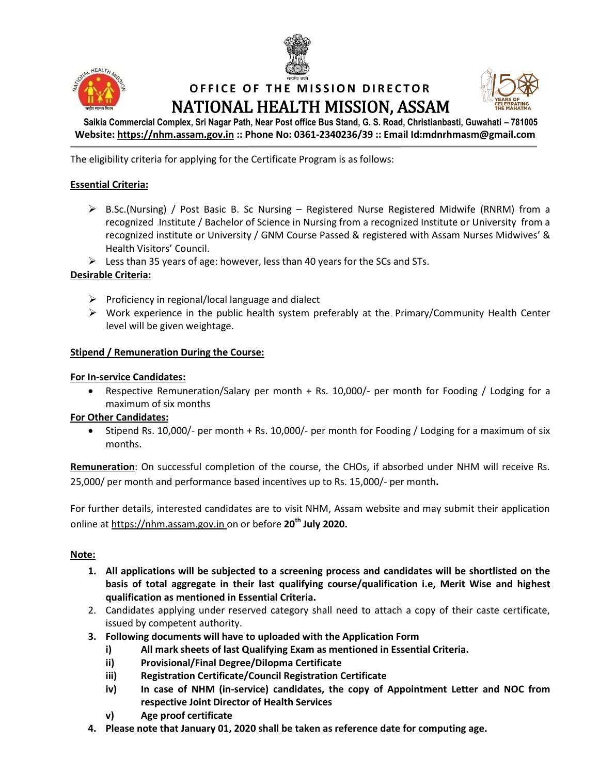



## **OFFICE OF THE MISSION DIRECTOR** NATIONAL HEALTH MISSION, ASSAM



**Saikia Commercial Complex, Sri Nagar Path, Near Post office Bus Stand, G. S. Road, Christianbasti, Guwahati – 781005 Website: [https://nhm.assam.gov.in](https://nhm.assam.gov.in/) :: Phone No: 0361-2340236/39 :: Email Id:mdnrhmasm@gmail.com**

The eligibility criteria for applying for the Certificate Program is as follows:

### **Essential Criteria:**

- $\triangleright$  B.Sc.(Nursing) / Post Basic B. Sc Nursing Registered Nurse Registered Midwife (RNRM) from a recognized Institute / Bachelor of Science in Nursing from a recognized Institute or University from a recognized institute or University / GNM Course Passed & registered with Assam Nurses Midwives' & Health Visitors' Council.
- $\triangleright$  Less than 35 years of age: however, less than 40 years for the SCs and STs.

#### **Desirable Criteria:**

- $\triangleright$  Proficiency in regional/local language and dialect
- $\triangleright$  Work experience in the public health system preferably at the Primary/Community Health Center level will be given weightage.

#### **Stipend / Remuneration During the Course:**

#### **For In-service Candidates:**

 Respective Remuneration/Salary per month + Rs. 10,000/- per month for Fooding / Lodging for a maximum of six months

#### **For Other Candidates:**

 $\bullet$  Stipend Rs. 10,000/- per month + Rs. 10,000/- per month for Fooding / Lodging for a maximum of six months.

**Remuneration**: On successful completion of the course, the CHOs, if absorbed under NHM will receive Rs. 25,000/ per month and performance based incentives up to Rs. 15,000/- per month**.**

For further details, interested candidates are to visit NHM, Assam website and may submit their application online at [https://nhm.assam.gov.in](https://nhm.assam.gov.in/) on or before **20 th July 2020.**

#### **Note:**

- **1. All applications will be subjected to a screening process and candidates will be shortlisted on the basis of total aggregate in their last qualifying course/qualification i.e, Merit Wise and highest qualification as mentioned in Essential Criteria.**
- 2. Candidates applying under reserved category shall need to attach a copy of their caste certificate, issued by competent authority.
- **3. Following documents will have to uploaded with the Application Form**
	- **i) All mark sheets of last Qualifying Exam as mentioned in Essential Criteria.**
	- **ii) Provisional/Final Degree/Dilopma Certificate**
	- **iii) Registration Certificate/Council Registration Certificate**
	- **iv) In case of NHM (in-service) candidates, the copy of Appointment Letter and NOC from respective Joint Director of Health Services**
	- **v) Age proof certificate**
- **4. Please note that January 01, 2020 shall be taken as reference date for computing age.**